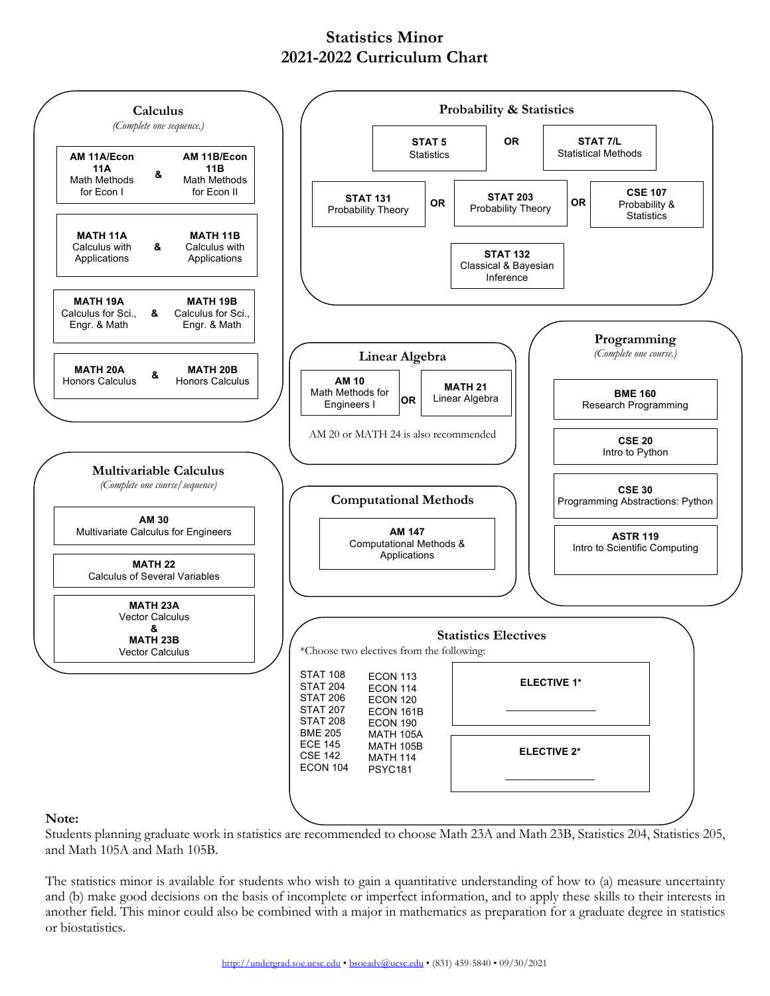## **Statistics Minor 2021-2022 Curriculum Chart**



Students planning graduate work in statistics are recommended to choose Math 23A and Math 23B, Statistics 204, Statistics 205, and Math 105A and Math 105B.

The statistics minor is available for students who wish to gain a quantitative understanding of how to (a) measure uncertainty and (b) make good decisions on the basis of incomplete or imperfect information, and to apply these skills to their interests in another field. This minor could also be combined with a major in mathematics as preparation for a graduate degree in statistics or biostatistics.